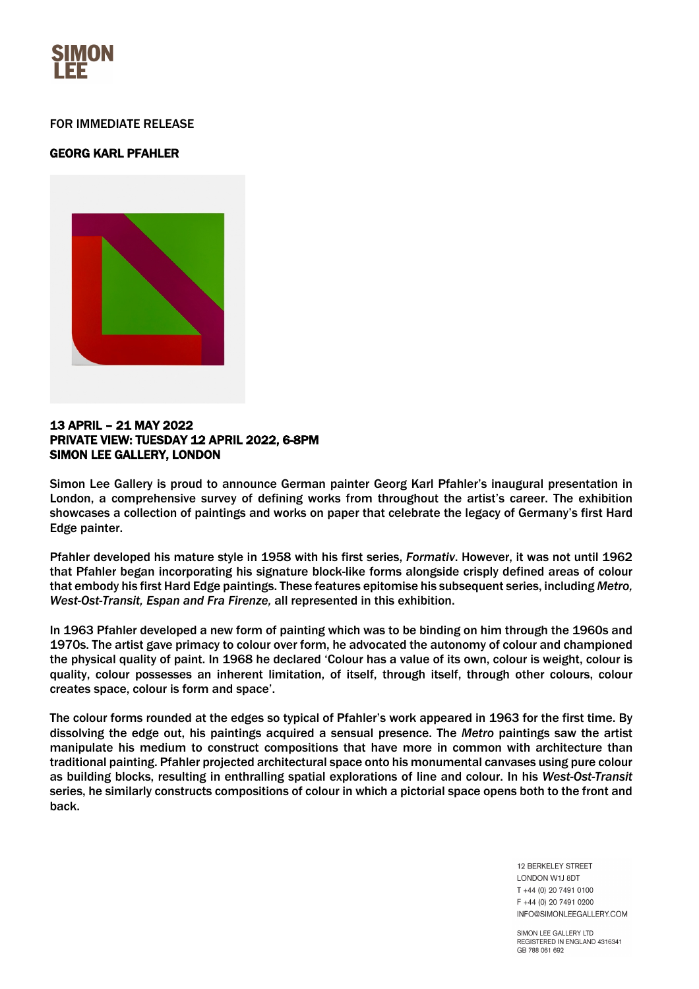

## FOR IMMEDIATE RELEASE

# GEORG KARL PFAHLER



## 13 APRIL – 21 MAY 2022 PRIVATE VIEW: TUESDAY 12 APRIL 2022, 6-8PM SIMON LEE GALLERY, LONDON

Simon Lee Gallery is proud to announce German painter Georg Karl Pfahler's inaugural presentation in London, a comprehensive survey of defining works from throughout the artist's career. The exhibition showcases a collection of paintings and works on paper that celebrate the legacy of Germany's first Hard Edge painter.

Pfahler developed his mature style in 1958 with his first series, *Formativ*. However, it was not until 1962 that Pfahler began incorporating his signature block-like forms alongside crisply defined areas of colour that embody his first Hard Edge paintings. These features epitomise his subsequent series, including *Metro, West-Ost-Transit, Espan and Fra Firenze,* all represented in this exhibition.

In 1963 Pfahler developed a new form of painting which was to be binding on him through the 1960s and 1970s. The artist gave primacy to colour over form, he advocated the autonomy of colour and championed the physical quality of paint. In 1968 he declared 'Colour has a value of its own, colour is weight, colour is quality, colour possesses an inherent limitation, of itself, through itself, through other colours, colour creates space, colour is form and space'.

The colour forms rounded at the edges so typical of Pfahler's work appeared in 1963 for the first time. By dissolving the edge out, his paintings acquired a sensual presence. The *Metro* paintings saw the artist manipulate his medium to construct compositions that have more in common with architecture than traditional painting. Pfahler projected architectural space onto his monumental canvases using pure colour as building blocks, resulting in enthralling spatial explorations of line and colour. In his *West-Ost-Transit* series, he similarly constructs compositions of colour in which a pictorial space opens both to the front and back.

> **12 BERKELEY STREET** LONDON W1J 8DT T +44 (0) 20 7491 0100 F +44 (0) 20 7491 0200 INFO@SIMONLEEGALLERY.COM

SIMON LEE GALLERY LTD REGISTERED IN ENGLAND 4316341 GB 788 061 692